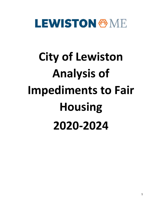# **LEWISTON & ME**

# **City of Lewiston Analysis of Impediments to Fair Housing 2020-2024**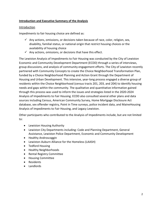# **Introduction and Executive Summary of the Analysis**

#### **Introduction**

Impediments to fair housing choice are defined as:

- $\checkmark$  Any actions, omissions, or decisions taken because of race, color, religion, sex, disability, familial status, or national origin that restrict housing choices or the availability of housing choice
- $\checkmark$  Any actions, omissions, or decisions that have this effect.

The Lewiston Analysis of Impediments to Fair Housing was conducted by the City of Lewiston Economic and Community Development Department (ECDD) through a series of interviews, group discussions, and analysis of community engagement efforts. The City of Lewiston recently partnered with Community Concepts to create the Choice Neighborhood Transformation Plan, funded by a Choice Neighborhood Planning and Action Grant through the Department of Housing and Urban Development. This intensive, year-long process engaged a diverse group of residents within the Choice Neighborhood (census tracts 201, 203, and 204) to identify housing needs and gaps within the community. The qualitative and quantitative information gained through this process was used to inform the issues and strategies listed in the 2020-2024 Analysis of Impediments to Fair Housing. ECDD also consulted several other plans and data sources including Census, American Community Survey, Home Mortgage Disclosure Act database, sex offender registry, Point in Time surveys, police incident data, and MaineHousing Analysis of Impediments to Fair Housing, and Legacy Lewiston.

Other participants who contributed to the Analysis of Impediments include, but are not limited to:

- Lewiston Housing Authority
- Lewiston City Departments including: Code and Planning Department, General Assistance, Lewiston Police Department, Economic and Community Development
- Healthy Androscoggin
- Lewiston-Auburn Alliance for the Homeless (LAASH)
- Tedford Housing
- Healthy Neighborhoods
- Rental Registry Committee
- Housing Committee
- Residents
- Landlords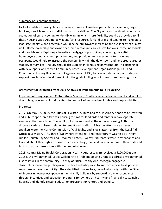### Summary of Recommendations

Lack of available housing choice remains an issue in Lewiston, particularly for seniors, large families, New Mainers, and individuals with disabilities. The City of Lewiston should conduct an evaluation of current zoning to identify ways in which more flexibility could be provided to fill these housing gaps. Additionally, identifying resources for landlords and tenants to make units lead-safe, healthy, and accessible would be helpful toward increasing the availability of quality units. Home ownership and owner-occupied rental units are elusive for low-income individuals and New Mainers. Exploring alternative mortgage opportunities, educating potential homebuyers about current opportunities, and providing resources for potential owneroccupants would help to increase the ownership within the downtown and help create greater stability for families. The City should also support infill housing on vacant lots, in partnership with developers, and recruit Community Based Development Organizations (CBDO) and Community Housing Development Organizations (CHDO) to have additional opportunities to support new housing development with the goal of filling gaps in the current housing stock.

# **Assessment of Strategies from 2013 Analysis of Impediments to Fair Housing**

Impediment: Language and Culture (New Mainers): Conflicts arise between tenant and landlord due to language and cultural barriers, tenant lack of knowledge of rights and responsibilities.

#### Progress:

2017: On May 17, 2018, the Cities of Lewiston, Auburn and the Housing Authorities of Lewiston and Auburn sponsored two fair housing forums for landlords and renters in two separate venues at the same time. The landlord forum was held at the Auburn Housing Authority to discuss a variety of issues relating to tenant and landlord rights. In attendance as guest speakers were the Maine Commission of Civil Rights and a local attorney from the Legal Aid Office in Lewiston. Fifty-three (53) owners attended. The renter forum was held at Trinity Jubilee Church Day Shelter and Resource Center. Twenty (20) renters were in attendance and learned about their rights on issues such as bedbugs, lead and code violations in their units and how to discuss these issues with the property owner.

2018: Central Maine Health Corporation (Healthy Androscoggin) received a \$120,000 grant 2018 EPA Environmental Justice Collaborative Problem-Solving Grant to address environmental justice issues in the community. In May of 2019, Healthy Androscoggin engaged 23 stakeholders from the public/private sector to identify ways to improve access to all persons regardless of race or ethnicity. They identified four sectors, two of which align with the Cities AI. Increasing owner occupancy in multi-family buildings by supporting owner occupancy through incentives and education programs for owners on healthy and financially sustainable housing and identify existing education programs for renters and owners.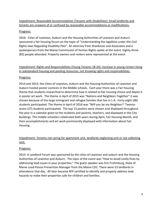# Impediment: Reasonable Accommodation (Tenants with Disabilities): Small landlords and tenants are unaware of or confused by reasonable accommodations or modifications.

# Progress:

2016: Cities of Lewiston, Auburn and the Housing Authorities of Lewiston and Auburn sponsored a fair housing forum on the topic of "Understanding the legalities under the Civil Rights laws Regarding Disability Pets". An attorney from Shankman and Associates and a spokesperson from the Maine Commission of Human Rights spoke at the event. Eighty-three (83) people attended. Property owners and renters were represented at the event.

# Impediment: Rights and Responsibilities (Young Tenants 18-24): Increase in young renters living in substandard housing and pooling resources, not knowing rights and responsibilities.

# Progress:

2014 and 2015: the Cities of Lewiston, Auburn and the Housing Authorities of Lewiston and Auburn hosted poster contests in the Middle schools. Each year there was a Fair housing theme that students researched to determine how it related to fair housing choice and depict it in poster art work. The theme in April of 2015 was "Nations and Neighbors Together" it was chosen because of the large immigrant and refugee families that live in L-A. Forty-eight (48) students participated. The theme in April of 2016 was "Will you be my Neighbor?. Twentyseven (27) students participated. The top 13 posters were chosen and displayed throughout the year in a calendar given to the students and parents, teachers, and displayed in the City Buildings. The middle schoolers celebrated both years during April, Fair Housing Month, and their accomplishments and art work prominently displayed with information about Fair Housing.

# Impediment: Tenants not caring for apartment unit, landlords neglecting unit or not collecting rent.

# Progress:

2015: A Landlord Forum was sponsored by the cities of Lewiston and auburn and the Housing Authorities of Lewiston and Auburn. The topic of the event was "How to avoid costly fines by addressing lead issues in your properties." The guest speaker was Eric Frohmburg, State of Maine Lead Poison Prevention Manager from the Maine CDC. There were 53 landlords in attendance that day. 49 later became RFP certified to identify and properly address lead hazards to make their properties safe for children and families.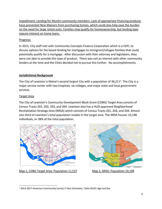Impediment: Lending for Muslim community members: Lack of appropriate financing products have prevented New Mainers from purchasing homes, which could also help ease the burden on the need for large rental units. Families may qualify for homeownership, but lending laws require interest on home loans.

# Progress:

In 2015, City staff met with Community Concepts Finance Corporation which is a CDFI, to discuss options for fee based lending for mortgages to immigrant/refugee families that could potentially qualify for a mortgage. After discussion with their attorney and legislators, they were not able to provide this type of product. There was not an interest with other community lenders at the time and the Cities decided not to pursue this further. No accomplishments.

# **Jurisdictional Background**

The City of Lewiston is Maine's second largest City with a population of  $36,211<sup>1</sup>$ . The City is a major service center with two hospitals, six colleges, and major state and local government services.

# Target Area

The City of Lewiston's Community Development Block Grant (CDBG) Target Area consists of Census Tracts 201, 202, 203, and 204. Lewiston also has a HUD-approved Neighborhood Revitalization Strategy Area (NRSA) which consists of Census Tracts 201, 203, and 204. Almost one-third of Lewiston's total population resides in the target area. The NRSA houses 10,198 individuals, or 28% of the total population.



Map 1, CDBG Target Area: Population 11,527 Map 2, NRSA: Population 10,198



<span id="page-4-0"></span><sup>&</sup>lt;sup>1</sup> 2013-2017 American Community Survey 5-Year Estimates, Table S0101 Age and Sex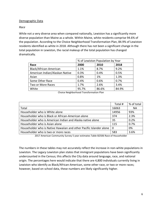#### Demographic Data

#### *Race*

While not a very diverse area when compared nationally, Lewiston has a significantly more diverse population than Maine as a whole. Within Maine, white residents comprise 94.6% of the population. According to the Choice Neighborhood Transformation Plan, 84.9% of Lewiston residents identified as white in 2018. Although there has not been a significant change in the total population in Lewiston, the racial makeup of the total population has changed dramatically.

| % of Lewiston Population by Year |       |       |       |  |  |
|----------------------------------|-------|-------|-------|--|--|
| Race                             | 2000  | 2010  | 2018  |  |  |
| Black/African-American           | 1.1%  | 8.7%  | 9.2%  |  |  |
| American Indian/Alaskan Native   | 0.3%  | 0.4%  | 0.5%  |  |  |
| Asian                            | 0.8%  | 1%    | 1.3%  |  |  |
| Some Other Race                  | 0.4%  | 0.6%  | 0.7%  |  |  |
| Two or More Races                | 1.7%  | 2.6%  | 3.4%  |  |  |
| White                            | 95.7% | 86.6% | 84.9% |  |  |

Choice Neighborhood Transformation Plan

|                                                                     | Total # | % of total |
|---------------------------------------------------------------------|---------|------------|
| Total                                                               | 16063   | <b>NA</b>  |
| Householder who is White alone                                      | 14956   | 93%        |
| Householder who is Black or African-American alone                  | 374     | 2.3%       |
| Householder who is American Indian and Alaska native alone          | 35      | 0.2%       |
| Householder who is Asian alone                                      | 115     | 0.7%       |
| Householder who is Native Hawaiian and other Pacific Islander alone | - 0     | 0%         |
| Householder who is two or more races                                | 583     | 3.6%       |

2017 American Community Survey 5 year estimates Table B2506 Race of Householder

The numbers in these tables may not accurately reflect the increase in non-white populations in Lewiston. The Legacy Lewiston plan states that immigrant populations have been significantly undercounted in the Census; this affects the City data around language, race, and national origin. The percentages here would indicate that there are 4,800 individuals currently living in Lewiston who identify as Black/African-American, some other race, or two or more races; however, based on school data, these numbers are likely significantly higher.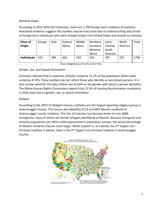# *National Origin*

According to 2012-2016 ACS Estimates, there are 1,790 foreign-born residents of Lewiston. Anecdotal evidence suggests this number may be inaccurate due to undercounting and arrival of foreign-born individuals who were already living in the United States and moved to Lewiston.

| <b>Place of</b>    | Europe | Asia | Eastern | Middle | Northern, | Latin,   | North   | Total |
|--------------------|--------|------|---------|--------|-----------|----------|---------|-------|
| Origin             |        |      | Africa  | Africa | Southern, | Central, | America |       |
|                    |        |      |         |        | Western   | South    |         |       |
|                    |        |      |         |        | Africa    | America  |         |       |
| <b>Individuals</b> | 155    | 289  | 462     | 193    | 234       | 197      | 327     | 1790  |
|                    |        |      |         |        |           |          |         |       |

Choice Neighborhood Transformation Plan

# *Gender, Sex, and Sexual Orientation*

Estimates indicate that in Lewiston, females comprise 52.2% of the population while males comprise 47.8%. These numbers do not reflect those who identify as non-binary persons. It is also unclear whether the data reflects sex at birth or the gender with which a person identifies. The Maine Human Rights Commission reports that 12.5% of housing discrimination complaints in 2018 were due to gender, sex, or sexual orientation.

#### *Religion*

According to the 2010 US Religion Census, Catholics are the largest reporting religious group in Androscoggin County. The Census also identifies 0.1% to 0.49% Muslim residents of Androscoggin County residents. The City of Lewiston has become home to over 6000 immigrants, many of whom are Somali refugees identifying as Muslim. Because immigrant and minority populations are often underrepresented in population surveys, the actual percentage of Muslim residents may be much larger. While Judaism is, as a whole, the 2<sup>nd</sup> largest non-Christian tradition in Maine, Islam is the 2<sup>nd</sup> largest non-Christian tradition in Androscoggin County.

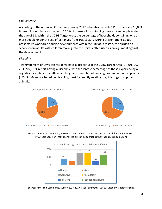# *Family Status*

According to the American Community Survey 2017 estimates on table S1101, there are 16,063 households within Lewiston, with 25.1% of households containing one or more people under the age of 18. Within the CDBG Target Area, the percentage of households containing one or more people under the age of 18 ranges from 16% to 32%. During presentations about prospective workforce housing developments within the City of Lewiston, the burden on schools from adults with children moving into the units is often used as an argument against the development.

#### *Disability*

Twenty percent of Lewiston residents have a disability; in the CDBG Target Area (CT 201, 202, 203, 204) 30% report having a disability, with the largest percentage of those experiencing a cognitive or ambulatory difficulty. The greatest number of housing discrimination complaints (48%) in Maine are based on disability, most frequently relating to guide dogs or support animals.



Source: American Community Survey 2013-2017 5-year estimates, S1810: Disability Characteristics (ACS table uses non-institutionalized civilian population rather than gross population)



Source: American Community Survey 2013-2017 5-year estimates, S1810: Disability Characteristics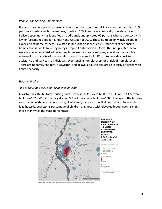#### *People Experiencing Homelessness*

Homelessness is a pervasive issue in Lewiston. Lewiston General Assistance has identified 169 persons experiencing homelessness, of whom 26% identify as chronically homeless. Lewiston Police Department has identified an additional, unduplicated 62 persons who had contact with law enforcement between January and October of 2019. These numbers only include adults experiencing homelessness. Lewiston Public Schools identified 221 students experiencing homelessness, while New Beginnings Drop-in Center served 538 youth (unduplicated) who were homeless or at risk of becoming homeless. Disparate services, as well as the invisible nature of the majority of the homeless population, make it difficult to provide consistent assistance and services to individuals experiencing homelessness or at risk of homelessness. There are no family shelters in Lewiston, and all available shelters are religiously affiliated with limited capacity.

#### Housing Profile

# *Age of Housing Stock and Prevalence of Lead*

Lewiston has 16,063 total housing units. Of these, 6,352 were built pre-1939 and 13,472 were built pre-1979. Within the target area, 93% of units were built pre-1980. The age of the housing stock, along with poor maintenance, significantly increases the likelihood that units contain lead hazards. Lewiston's percentage of children diagnosed with elevated blood levels is 6.3%, more than twice the state percentage.



Figure 20. Context map of the relative density of confirmed childhood lead poisoning car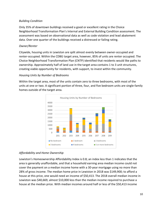# *Building Condition*

Only 35% of downtown buildings received a good or excellent rating in the Choice Neighborhood Transformation Plan's Internal and External Building Condition assessment. The assessment was based on observational data as well as code violation and lead abatement data. Over one quarter of the buildings received a distressed or failing rating.

# *Owner/Renter*

Citywide, housing units in Lewiston are split almost evenly between owner-occupied and renter-occupied. Within the CDBG target area, however, 85% of units are renter occupied. The Choice Neighborhood Transformation Plan (CNTP) identified that residents would like paths to ownership. Approximately half of land use in the target area contains 1 to 3 unit structures, creating viable opportunity for residents, with support, to invest within the community.

# *Housing Units by Number of Bedrooms*

Within the target area, most of the units contain zero to three bedrooms, with most of the units at one or two. A significant portion of three, four, and five bedroom units are single-family homes outside of the target area.



# *Affordability and Home Ownership*

Lewiston's Homeownership Affordability Index is 0.8; an index less than 1 indicates that the area is generally unaffordable, and that a household earning area median income could not cover the payment on a median income home with a 30-year mortgage using no more than 28% of gross income. The median home price in Lewiston in 2018 was \$149,900; to afford a house at this price, one would need an income of \$50,413. The 2018 overall median income in Lewiston was \$40,669, almost \$10,000 less than the median income required to purchase a house at the median price. With median incomes around half or less of the \$50,413 income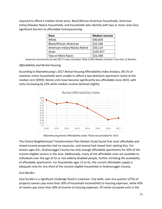required to afford a median home price, Black/African-American households, American Indian/Alaskan Native households, and households who identify with two or more races face significant barriers to affordable homeownership.

| Race                          | <b>Median Income</b> |
|-------------------------------|----------------------|
| White                         | \$40,659             |
| Black/African-American        | \$25,246             |
| American Indian/Alaska Native | \$20,114             |
| Asian                         | \$105,927            |
| Two or More Races             | \$22,438             |

American Community Survey 2017 5 year estimates Table S1903 Median Income in the Past 12 Months

# *Affordability and Rental Housing*

According to MaineHousing's 2017 Rental Housing Affordability Index Analysis, 69.1% of Lewiston renter households were unable to afford a two-bedroom apartment rental at the median rent (\$959). Rental units have become significantly less affordable since 2010, with rents increasing by 23% while median income declined slightly.



MaineHousing Rental Affordability Index \*Data not provided for 2015

The Choice Neighborhood Transformation Plan Market Study found that most affordable and mixed-income properties had no vacancies, and several had closed their waiting lists. For seniors ages 62+, Androscoggin County has only enough affordable apartments for 50% of the income-eligible seniors in the area. Additionally, many of the affordable units are available to individuals over the age of 55 or non-elderly disabled people, further shrinking the availability of affordable apartments. For households ages 15 to 61, the current affordable supply is adequate only for one-third of the income eligible households in Androscoggin County.

# *Cost Burden*

Cost burden is a significant challenge faced in Lewiston. City-wide, over one quarter (27%) of property owners pay more than 30% of household income(HHI) to housing expenses, while 45% of renters pay more than 30% of income to housing expenses. Of renter occupied units in the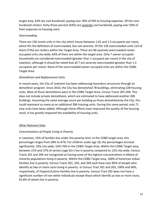target area, 63% are cost burdened, paying over 30% of HHI to housing expenses. Of the costburdened renters, forty-three percent (43%) are severely cost burdened, paying over 50% of their expenses to housing costs.

# *Overcrowding*

There are 156 rental units in the city which house between 1.01 and 1.5 occupants per room, which fits the definition of overcrowded, but not severely. Of the 156 overcrowded units 114 of them (73%) are renters within the Target Area. There are 96 severely overcrowded renteroccupied units city-wide; 63% of them are within the target area. Only 7 owner-occupied households are considered overcrowded (greater than 1 occupant per room) in the city of Lewiston, although it should be noted that all 7 are severely overcrowded (greater than 1.5 occupants per room). None of the overcrowded owner-occupied units are within the CDBG Target Area.

# *Demolitions and Replacement Units*

In recent years, the City of Lewiston has been addressing hazardous structures through its demolition program. Since 2010, the City has demolished 78 buildings, eliminating 228 housing units. Most of these demolitions were in the CDBG Target Area, Census Tracts 201-204. This does not include private demolitions, which are estimated to have addressed another 200 buildings. Assuming the same average count per building as those demolished by the City, this could represent as many as an additional 584 housing units. During this same period, only 71 new units have been added. Although these efforts have improved the quality of the housing stock, it has greatly impacted the availability of housing units.

# Other Relevant Data

# *Concentrations of People Living in Poverty*

In Lewiston, 15% of families live under the poverty limit. In the CDBG target area, this percentage ranges from 28% to 47%. For children under age 18, the percentages increase significantly: 33% city-wide, 53%-76% in the CDBG Target Area. Within the CDBG Target area, between 21% and 37% of seniors (age 65+) live in poverty compared to 12% city-wide. Census Tracts 201 and 204 are recognized as having some of the highest concentrations in Maine of minority populations living in poverty. Within the CDBG Target area, 100% of American Indian families live in poverty. Census Tracts 201, 203, and 204 each have over 85% of people who identify as two or more races living in poverty. In Census Tract 201 and 203, 100% and 90%, respectively, of Hispanic/Latino families live in poverty. Census Tract 202 does not have a significant number of non-white individuals except those which identify as two or more races, 62.8% of whom live in poverty.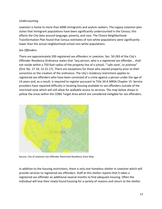# *Undercounting*

Lewiston is home to more than 6000 immigrants and asylum seekers. The Legacy Lewiston plan states that immigrant populations have been significantly undercounted in the Census; this affects the City data around language, poverty, and race. The Choice Neighborhood Transformation Plan found that Census estimates of non-white populations were significantly lower than the actual neighborhood school non-white populations.

# *Sex Offenders*

There are approximately 200 registered sex offenders in Lewiston. Sec. 50-283 of the City's Offender Residency Ordinance states that "any person, who is a registered sex offender… shall not reside within a 750 foot radius of the property line of a school, "'safe zone', or premise" (Ord. No. 17-19, 12-21-17). There are exceptions for those who owned property prior to their conviction or the creation of the ordinance. The city's residency restrictions applies to registered sex offenders who have been convicted of a crime against a person under the age of 14 years and, as a result, is required to register pursuant to Title 34-A MRSA Chapter 15. Service providers have reported difficulty in locating housing available to sex offenders outside of the restricted zone which will still allow for walkable access to services. The map below shows in yellow the areas within the CDBG Target Area which are considered ineligible for sex offenders.



Source: City of Lewiston Sex Offender Restricted Residency Zone Map

In addition to the housing restrictions, there is only one homeless shelter in Lewiston which will provide services to registered sex offenders. Staff at this shelter reports that it takes a registered sex offender an additional several months to find adequate housing. Often the individual will lose their newly found housing for a variety of reasons and return to the shelter.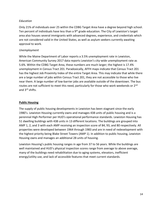# *Education*

Only 21% of individuals over 25 within the CDBG Target Area have a degree beyond high school. Ten percent of individuals have less than a 9<sup>th</sup> grade education. The City of Lewiston's target area also houses several immigrants with advanced degrees, experience, and credentials which are not considered valid in the United States, as well as asylum seekers currently awaiting approval to work.

#### *Unemployment*

While the Maine Department of Labor reports a 3.5% unemployment rate in Lewiston, American Community Survey 2017 data reports Lewiston's city-wide unemployment rate as 5.6%. Within the CDBG Target Area, these numbers are much larger; the highest is 17.4% unemployment in Census Tract 201. Paradoxically, AFFH maps indicate that Census Tract 201 has the highest Job Proximity Index of the entire Target Area. This may indicate that while there are a large number of jobs within Census Tract 201, they are not accessible to those who live near them. A large number of low-barrier jobs are available outside of the downtown. The bus routes are not sufficient to meet this need, particularly for those who work weekends or 2<sup>nd</sup> and 3rd shifts.

#### **Public Housing**

The supply of public housing developments in Lewiston has been stagnant since the early 1980's. Lewiston Housing currently owns and manages 438 units of public housing and is a perennial High Performer per HUD's operational performance standards. Lewiston Housing has 51 dwelling buildings with 438 units in 13 different locations. The buildings are grouped into AMP 1, 2, and 3 with each AMP receiving an inspection score of 84, 93, and 80 respectively. All properties were developed between 1964 through 1983 and are in need of redevelopment with the highest priority being Blake Street Towers (AMP 1). In addition to public housing, Lewiston Housing owns and manages an additional 28 units of housing.

Lewiston Housing's public housing ranges in age from 37 to 56 years. While the buildings are well maintained and HUD's physical inspection scores range from average to above average, many of the buildings need rehabilitation due to aging systems, elevators, inefficient energy/utility use, and lack of accessible features that meet current standards.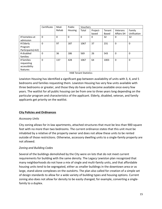|                            | Certificate | Mod-     | Public  | <b>Vouchers</b> |          |        |                   |             |
|----------------------------|-------------|----------|---------|-----------------|----------|--------|-------------------|-------------|
|                            |             | Rehab    | Housing | Total           | Project- | Tenant | Veterans          | Family      |
|                            |             |          |         |                 | based    | Based  | <b>Affairs SH</b> | Unification |
| # homeless at<br>admission | $\mathbf 0$ | $\Omega$ | 0       | 0               | 0        | 32     | 0                 | 32          |
| # Elderly                  | 0           | 97       | 187     | 1067            | 37       | 231    | 0                 | 0           |
| Program                    |             |          |         |                 |          |        |                   |             |
| Participants(>62)          |             |          |         |                 |          |        |                   |             |
| # disabled                 | 0           | 36       | 186     | 569             | 26       | 543    | 0                 | $\Omega$    |
| families                   |             |          |         |                 |          |        |                   |             |
| # families                 | $\mathbf 0$ | 137      | 428     | 1067            | 64       | 1003   | $\mathbf 0$       | $\Omega$    |
| requesting                 |             |          |         |                 |          |        |                   |             |
| accessibility              |             |          |         |                 |          |        |                   |             |
| features                   |             |          |         |                 |          |        |                   |             |

HAB Tenant Statistics

Lewiston Housing has identified a significant gap between availability of units with 3, 4, and 5 bedrooms and families requesting them. Lewiston Housing has very few units available with three bedrooms or greater, and those they do have only become available once every few years. The waitlist for all public housing can be from one to three years long depending on the particular program and characteristics of the applicant. Elderly, disabled, veteran, and family applicants get priority on the waitlist.

# **City Policies and Ordinances**

# *Accessory Units*

City zoning allows for in-law apartments, attached structures that must be less than 900 square feet with no more than two bedrooms. The current ordinance states that this unit must be inhabited by a relative of the property owner and does not allow these units to be rented outside of those restrictions. Otherwise, accessory dwelling units to a single-family property are not allowed.

# *Zoning and Building Codes*

Several of the buildings demolished by the City were on lots that do not meet current requirements for building with the same density. The Legacy Lewiston plan recognized that many neighborhoods do not have a mix of single and multi-family units, and that affordable housing units tend to be segregated, either as smaller buildings in the downtown area or as large, stand-alone complexes on the outskirts. The plan also called for creation of a simple set of design standards to allow for a wide variety of building types and housing options. Current zoning also does not allow for density to be easily changed, for example, converting a singlefamily to a duplex.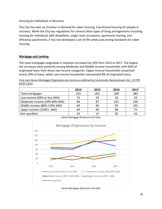#### *Housing for Individuals in Recovery*

The City has seen an increase in demand for sober housing, transitional housing for people in recovery. While the City has regulations for several other types of living arrangements including housing for individuals with disabilities, single room occupancy, apartment sharing, and efficiency apartments, it has not developed a set of life-safety and zoning standards for sober housing.

#### **Mortgage and Lending**

The total mortgages originated in Lewiston increased by 33% from 2014 to 2017. The largest net increases were primarily among Moderate and Middle Income households, with 60% of originated loans from these two income categories. Upper Income households comprised nearly 20% of loans, while Low Income households represented 8% of originated loans.

First-Lien Home Mortgage Originations by Income as defined by Community Reinvestment Act, 12 CFR  $$228.12(m)$ 

|                               | 2014 | 2015 | 2016 | 2017 |
|-------------------------------|------|------|------|------|
| Total mortgages               | 255  | 261  | 340  | 383  |
| Low-income (50% or less AMI)  | 15   | 33   | 18   | 34   |
| Moderate income (50%-80% AMI) | 84   | 87   | 101  | 130  |
| Middle Income (80%-120% AMI)  | 69   | 66   | 93   | 101  |
| Upper Income (120%+ AMI)      | 64   | 60   | 98   |      |
| Not specified                 | 23   | 15   | 30   |      |



Home Mortgage Disclosure Act Data

Home Mortgage Disclosure Act Data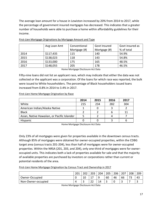The average loan amount for a house in Lewiston increased by 20% from 2014 to 2017, while the percentage of government insured mortgages has decreased. This indicates that a greater number of households were able to purchase a home within affordability guidelines for their income.

|      | Avg Loan Amt | Conventional | Govt Insured | Govt insured as |
|------|--------------|--------------|--------------|-----------------|
|      |              | Mortgage (#) | Mortgage (#) | % of total      |
| 2014 | \$117,435    | 115          | 140          | 54.9%           |
| 2015 | \$138,023    | 118          | 143          | 54.8%           |
| 2016 | \$133,000    | 175          | 165          | 48.5%           |
| 2017 | \$148,055    | 205          | 178          | 46.5%           |

First-Lien Mortgage Originations by Mortgage Amount and Type

Home Mortgage Disclosure Act Data

Fifty-nine loans did not list an applicant race, which may indicate that either the data was not collected or the applicant was a corporation. Of the loans for which race was reported, the bulk were issued to White householders. The percentage of Black householders issued loans increased from 0.8% in 2014 to 3.4% in 2017.

First-Lien Home Mortgage Origination by Race

|                                             | 2014 | 2015 | 2016 | 2017 |
|---------------------------------------------|------|------|------|------|
| White                                       | 215  | 234  | 282  | 304  |
| American Indian/Alaska Native               |      |      |      |      |
| <b>Black</b>                                |      |      |      | 11   |
| Asian, Native Hawaiian, or Pacific Islander |      |      |      |      |
| Hispanic                                    |      |      |      |      |

Home Mortgage Disclosure Act Data

Only 23% of all mortgages were given for properties available in the downtown census tracts. Although 85% of mortgages were obtained for owner-occupied properties, within the CDBG target area (census tracts 201-204), less than half of mortgages were for owner-occupied properties. Within the NRSA (201, 203, and 204), only one-third of mortgages were for owneroccupied units. This indicates both a lack of properties available for sale and that the majority of available properties are purchased by investors or corporations rather than current or potential residents of the area.

First-Lien Home Mortgage Origination by Census Tract and Ownership in 2017

|                    | 201 | רחר          | 203                     | 204 | 205 | 206 | 207 | 208 | 209 |
|--------------------|-----|--------------|-------------------------|-----|-----|-----|-----|-----|-----|
| Owner-Occupied     |     | $\sim$<br>⊥∪ | ∸ '                     | a   | 60  | 46  | 66  | ٮ   | 43  |
| Non-Owner-occupied |     |              | $\mathbin{\lnot}$<br>∠∠ |     | ے   |     | ັ   |     |     |

Home Mortgage Disclosure Act Data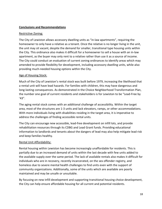# **Conclusions and Recommendations**

#### Restrictive Zoning:

The City of Lewiston allows accessory dwelling units as "in-law apartments", requiring the homeowner to only have a relative as a tenant. Once the relative is no longer living in the unit, the unit may sit vacant, despite the demand for smaller, transitional type housing units within the City. This ordinance also makes it difficult for a homeowner to sell a house with an in-law apartment, as the buyer may only rent to a relative rather than use it as a source of income. The City could conduct an evaluation of current zoning ordinances to identify areas which may amended to provide flexibility for development, including accessory dwelling units, while also providing much-needed housing options within the City.

#### Age of Housing Stock:

Much of the City of Lewiston's rental stock was built before 1979, increasing the likelihood that a rental unit will have lead hazards. For families with children, this may have dangerous and long-lasting consequences. As demonstrated in the Choice Neighborhood Transformation Plan, the number one goal of current residents and stakeholders is for Lewiston to be "Lead-Free by  $'43''$ .

The aging rental stock comes with an additional challenge of accessibility. Within the target area, most of the structures are 1-3 units and lack elevators, ramps, or other accommodations. With more individuals living with disabilities residing in the target area, it is imperative to address the challenges of finding accessible rental units.

The City can encourage new accessible, lead-free development on infill lots, and provide rehabilitation resources through its CDBG and Lead Grant funds. Providing educational information to landlords and tenants about the dangers of lead may also help mitigate lead risk and keep families healthy.

# Rental Unit Affordability:

Rental housing within Lewiston has become increasingly unaffordable for residents. This is partially due to an increased demand of units within the last decade with few units added to the available supply over the same period. The lack of available rentals also makes it difficult for individuals who are in recovery, recently incarcerated, on the sex offender registry, and homeless due to severe mental health challenges to find units even with the support of community organizations. Additionally, some of the units which are available are poorly maintained and may be unsafe or unsuitable.

By focusing on new infill development and supporting transitional housing choice development, the City can help ensure affordable housing for all current and potential residents.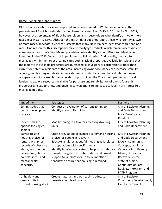# Home Ownership Opportunities:

Of the loans for which race was reported, most were issued to White householders. The percentage of Black householders issued loans increased from 0.8% in 2014 to 3.4% in 2017; however, the percentage of Black householders and householders who identify as two or more races in Lewiston is 5.9%. (Although the HMDA data does not report those who identify as two or more races, anecdotal evidence suggests that many New Mainers identify as more than one race.) One reason for this discrepancy may be mortgage products which remain inaccessible to members of Lewiston's New Mainer population who identify as both Black and Muslim, as identified in the 2013 Analysis of Impediments to Fair Housing. Additionally, the data for mortgages within the target area indicates both a lack of properties available for sale and that the majority of available properties are purchased by investors or corporations rather than current or potential residents of the area. Increasing owner occupancy can increase stability, security, and housing rehabilitation investment in residential areas. To facilitate both owner occupancy and increased homeownership opportunities, the City should partner with local lenders to explore resources available for purchase and rehabilitation of one to four unit properties and support new and ongoing conversations to increase availability of interest-free mortgage options.

| Impediment            | <b>Strategies</b>                                  | Partners                  |
|-----------------------|----------------------------------------------------|---------------------------|
| Zoning Codes that     | Conduct an evaluation of current zoning to         | City of Lewiston Planning |
| restrict development  | identify areas of flexibility                      | and Code Department,      |
| by area               |                                                    | Local Developers,         |
|                       |                                                    | Residents                 |
| Lack of smaller       | Modify zoning to allow for accessory dwelling      | City of Lewiston Planning |
| options for singles,  | units                                              | and Code Department       |
| seniors               |                                                    |                           |
| Barrier to safe       | Create regulations to increase safety and housing  | City of Lewiston Planning |
| housing choice for    | choice for people in recovery                      | and Code Department,      |
| renters with prior    | Educate landlords about fair housing as it relates | LAASH, Community          |
| records of substance  | to populations with specific needs.                | Concepts, landlords,      |
| abuse, sex offender,  | Identify housing advocates to help hard-to-house   | Veteran's Inc., Reentry   |
| prison time, chronic  | tenants navigate the rental system and provide     | Maine, St. Francis        |
| homelessness, and     | support to landlords for up to 12 months of        | Recovery Center,          |
| mental health         | tenancy to ensure that housing is retained.        | State of Maine,           |
| concerns.             |                                                    | Continuum of Care         |
|                       |                                                    | Navigator Program, and    |
|                       |                                                    | PATH Program.             |
| Unhealthy and         | Create materials and outreach to educate           | City of Lewiston          |
| unsafe units in       | tenants about lead hazards.                        | Community Development,    |
| current housing stock |                                                    | Landlords, Tenants,       |